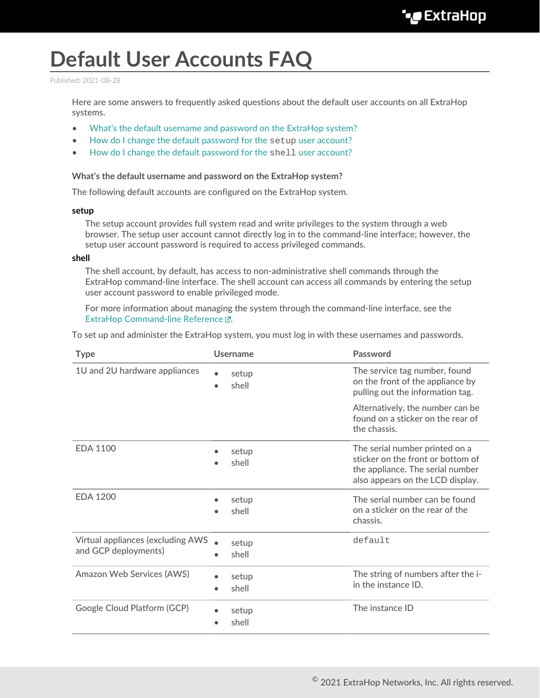# **Default User Accounts FAQ**

Published: 2021-08-28

Here are some answers to frequently asked questions about the default user accounts on all ExtraHop systems.

- [What's the default username and password on the ExtraHop system?](#page-0-0)
- [How do I change the default password for the](#page-1-0) setup user account?
- <span id="page-0-0"></span>• [How do I change the default password for the](#page-1-1) shell user account?

#### **What's the default username and password on the ExtraHop system?**

The following default accounts are configured on the ExtraHop system.

#### **setup**

The setup account provides full system read and write privileges to the system through a web browser. The setup user account cannot directly log in to the command-line interface; however, the setup user account password is required to access privileged commands.

#### **shell**

The shell account, by default, has access to non-administrative shell commands through the ExtraHop command-line interface. The shell account can access all commands by entering the setup user account password to enable privileged mode.

For more information about managing the system through the command-line interface, see the [ExtraHop Command-line Reference .](https://docs.extrahop.com/8.4/eh-cli-ref)..

To set up and administer the ExtraHop system, you must log in with these usernames and passwords.

| <b>Type</b>                                                      | <b>Username</b> | Password                                                                                                                                    |
|------------------------------------------------------------------|-----------------|---------------------------------------------------------------------------------------------------------------------------------------------|
| 1U and 2U hardware appliances                                    | setup<br>shell  | The service tag number, found<br>on the front of the appliance by<br>pulling out the information tag.                                       |
|                                                                  |                 | Alternatively, the number can be<br>found on a sticker on the rear of<br>the chassis.                                                       |
| <b>EDA 1100</b>                                                  | setup<br>shell  | The serial number printed on a<br>sticker on the front or bottom of<br>the appliance. The serial number<br>also appears on the LCD display. |
| <b>EDA 1200</b>                                                  | setup<br>shell  | The serial number can be found<br>on a sticker on the rear of the<br>chassis.                                                               |
| <b>Virtual appliances (excluding AWS</b><br>and GCP deployments) | setup<br>shell  | default                                                                                                                                     |
| Amazon Web Services (AWS)                                        | setup<br>shell  | The string of numbers after the i-<br>in the instance ID.                                                                                   |
| Google Cloud Platform (GCP)                                      | setup<br>shell  | The instance ID                                                                                                                             |